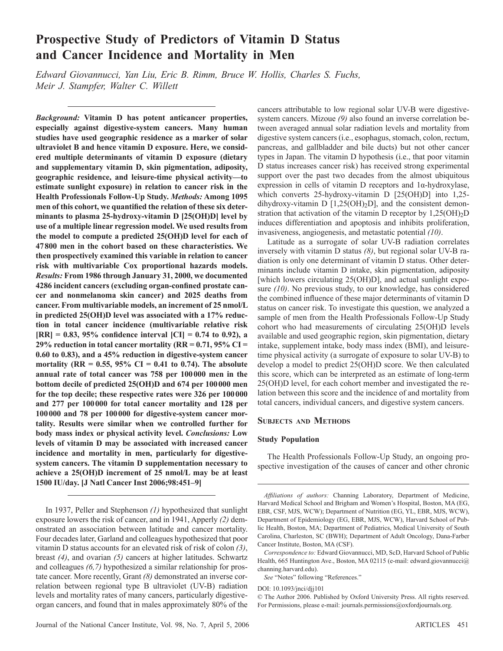# **Prospective Study of Predictors of Vitamin D Status and Cancer Incidence and Mortality in Men**

Edward Giovannucci, Yan Liu, Eric B. Rimm, Bruce W. Hollis, Charles S. Fuchs, *Meir J. Stampfer, Walter C. Willett* 

*Background:* **Vitamin D has potent anticancer properties, especially against digestive-system cancers. Many human studies have used geographic residence as a marker of solar ultraviolet B and hence vitamin D exposure. Here, we considered multiple determinants of vitamin D exposure (dietary and supplementary vitamin D, skin pigmentation, adiposity, geographic residence, and leisure-time physical activity — to estimate sunlight exposure) in relation to cancer risk in the Health Professionals Follow-Up Study.** *Methods:* **Among 1095**  men of this cohort, we quantified the relation of these six determinants to plasma 25-hydroxy-vitamin D [25(OH)D] level by **use of a multiple linear regression model. We used results from the model to compute a predicted 25(OH)D level for each of**  47800 men in the cohort based on these characteristics. We **then prospectively examined this variable in relation to cancer risk with multivariable Cox proportional hazards models.**  *Results:* **From 1986 through January 31, 2000, we documented**  4286 incident cancers (excluding organ-confined prostate can**cer and nonmelanoma skin cancer) and 2025 deaths from cancer. From multivariable models, an increment of 25 nmol/L in predicted 25(OH)D level was associated with a 17% reduction in total cancer incidence (multivariable relative risk**   $[RR] = 0.83, 95\%$  confidence interval  $[CI] = 0.74$  to 0.92), a **29% reduction in total cancer mortality (RR = 0.71, 95% CI = 0.60 to 0.83), and a 45% reduction in digestive-system cancer mortality (RR = 0.55, 95% CI = 0.41 to 0.74). The absolute annual rate of total cancer was 758 per 100 000 men in the bottom decile of predicted 25(OH)D and 674 per 100 000 men for the top decile; these respective rates were 326 per 100 000 and 277 per 100 000 for total cancer mortality and 128 per 100 000 and 78 per 100 000 for digestive-system cancer mortality. Results were similar when we controlled further for body mass index or physical activity level.** *Conclusions:* **Low levels of vitamin D may be associated with increased cancer incidence and mortality in men, particularly for digestive system cancers. The vitamin D supplementation necessary to achieve a 25(OH)D increment of 25 nmol/L may be at least 1500 IU/day. [J Natl Cancer Inst 2006;98:451 – 9]** 

In 1937, Peller and Stephenson (1) hypothesized that sunlight exposure lowers the risk of cancer, and in 1941, Apperly (2) demonstrated an association between latitude and cancer mortality. Four decades later, Garland and colleagues hypothesized that poor vitamin D status accounts for an elevated risk of risk of colon *( 3 )*, breast (4), and ovarian (5) cancers at higher latitudes. Schwartz and colleagues (6,7) hypothesized a similar relationship for prostate cancer. More recently, Grant (8) demonstrated an inverse correlation between regional type B ultraviolet (UV-B) radiation levels and mortality rates of many cancers, particularly digestiveorgan cancers, and found that in males approximately 80% of the

Journal of the National Cancer Institute, Vol. 98, No. 7, April 5, 2006 ARTICLES 451

cancers attributable to low regional solar UV-B were digestivesystem cancers. Mizoue (9) also found an inverse correlation between averaged annual solar radiation levels and mortality from digestive system cancers (i.e., esophagus, stomach, colon, rectum, pancreas, and gallbladder and bile ducts) but not other cancer types in Japan. The vitamin D hypothesis (i.e., that poor vitamin D status increases cancer risk) has received strong experimental support over the past two decades from the almost ubiquitous expression in cells of vitamin D receptors and  $1\alpha$ -hydroxylase, which converts 25-hydroxy-vitamin D [25(OH)D] into 1,25dihydroxy-vitamin D  $[1,25(OH)_2D]$ , and the consistent demonstration that activation of the vitamin D receptor by  $1,25(OH)_2D$ induces differentiation and apoptosis and inhibits proliferation, invasiveness, angiogenesis, and metastatic potential *(10)*.

 Latitude as a surrogate of solar UV-B radiation correlates inversely with vitamin D status *(8)*, but regional solar UV-B radiation is only one determinant of vitamin D status. Other determinants include vitamin D intake, skin pigmentation, adiposity [which lowers circulating 25(OH)D], and actual sunlight exposure (10). No previous study, to our knowledge, has considered the combined influence of these major determinants of vitamin D status on cancer risk. To investigate this question, we analyzed a sample of men from the Health Professionals Follow-Up Study cohort who had measurements of circulating 25(OH)D levels available and used geographic region, skin pigmentation, dietary intake, supplement intake, body mass index (BMI), and leisuretime physical activity (a surrogate of exposure to solar UV-B) to develop a model to predict 25(OH)D score. We then calculated this score, which can be interpreted as an estimate of long-term 25(OH)D level, for each cohort member and investigated the relation between this score and the incidence of and mortality from total cancers, individual cancers, and digestive system cancers.

## **SUBJECTS AND METHODS**

#### **Study Population**

 The Health Professionals Follow-Up Study, an ongoing prospective investigation of the causes of cancer and other chronic

DOI: 10.1093/jnci/djj101

Affiliations of authors: Channing Laboratory, Department of Medicine, Harvard Medical School and Brigham and Women's Hospital, Boston, MA (EG, EBR, CSF, MJS, WCW); Department of Nutrition (EG, YL, EBR, MJS, WCW), Department of Epidemiology (EG, EBR, MJS, WCW), Harvard School of Public Health, Boston, MA; Department of Pediatrics, Medical University of South Carolina, Charleston, SC (BWH); Department of Adult Oncology, Dana-Farber Cancer Institute, Boston, MA (CSF).

*Correspondence to:* Edward Giovannucci, MD, ScD, Harvard School of Public Health, 665 Huntington Ave., Boston, MA 02115 (e-mail: edward.giovannucci@ channing.harvard.edu ).

See "Notes" following "References."

 <sup>©</sup> The Author 2006. Published by Oxford University Press. All rights reserved. For Permissions, please e-mail: journals.permissions@oxfordjournals.org.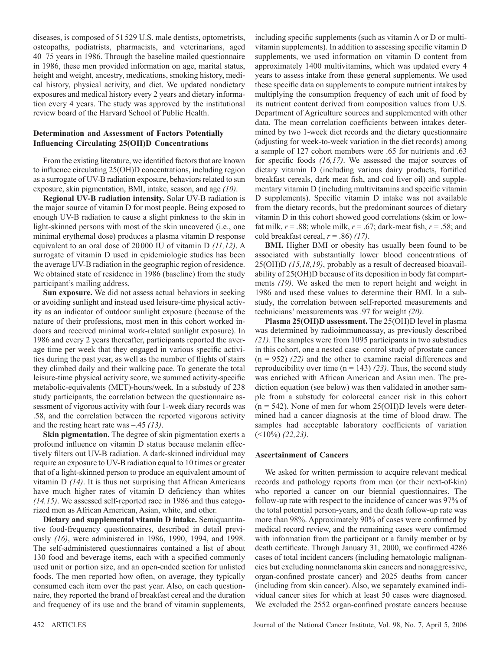diseases, is composed of 51 529 U.S. male dentists, optometrists, osteopaths, podiatrists, pharmacists, and veterinarians, aged 40–75 years in 1986. Through the baseline mailed questionnaire in 1986, these men provided information on age, marital status, height and weight, ancestry, medications, smoking history, medical history, physical activity, and diet. We updated nondietary exposures and medical history every 2 years and dietary information every 4 years. The study was approved by the institutional review board of the Harvard School of Public Health.

# **Determination and Assessment of Factors Potentially Influencing Circulating 25(OH)D Concentrations**

From the existing literature, we identified factors that are known to influence circulating 25(OH)D concentrations, including region as a surrogate of UV-B radiation exposure, behaviors related to sun exposure, skin pigmentation, BMI, intake, season, and age  $(10)$ .

 **Regional UV-B radiation intensity.** Solar UV-B radiation is the major source of vitamin D for most people. Being exposed to enough UV-B radiation to cause a slight pinkness to the skin in light-skinned persons with most of the skin uncovered (i.e., one minimal erythemal dose) produces a plasma vitamin D response equivalent to an oral dose of 20000 IU of vitamin D  $(11, 12)$ . A surrogate of vitamin D used in epidemiologic studies has been the average UV-B radiation in the geographic region of residence. We obtained state of residence in 1986 (baseline) from the study participant's mailing address.

 **Sun exposure.** We did not assess actual behaviors in seeking or avoiding sunlight and instead used leisure-time physical activity as an indicator of outdoor sunlight exposure (because of the nature of their professions, most men in this cohort worked indoors and received minimal work-related sunlight exposure). In 1986 and every 2 years thereafter, participants reported the average time per week that they engaged in various specific activities during the past year, as well as the number of flights of stairs they climbed daily and their walking pace. To generate the total leisure-time physical activity score, we summed activity-specific metabolic-equivalents (MET)-hours/week. In a substudy of 238 study participants, the correlation between the questionnaire assessment of vigorous activity with four 1-week diary records was .58, and the correlation between the reported vigorous activity and the resting heart rate was  $-.45$  (13).

**Skin pigmentation.** The degree of skin pigmentation exerts a profound influence on vitamin D status because melanin effectively filters out UV-B radiation. A dark-skinned individual may require an exposure to UV-B radiation equal to 10 times or greater that of a light-skinned person to produce an equivalent amount of vitamin D (14). It is thus not surprising that African Americans have much higher rates of vitamin D deficiency than whites *( 14 , 15 )* . We assessed self-reported race in 1986 and thus categorized men as African American, Asian, white, and other.

 **Dietary and supplemental vitamin D intake.** Semiquantitative food-frequency questionnaires, described in detail previously (16), were administered in 1986, 1990, 1994, and 1998. The self-administered questionnaires contained a list of about 130 food and beverage items, each with a specified commonly used unit or portion size, and an open-ended section for unlisted foods. The men reported how often, on average, they typically consumed each item over the past year. Also, on each questionnaire, they reported the brand of breakfast cereal and the duration and frequency of its use and the brand of vitamin supplements,

including specific supplements (such as vitamin A or D or multivitamin supplements). In addition to assessing specific vitamin D supplements, we used information on vitamin D content from approximately 1400 multivitamins, which was updated every 4 years to assess intake from these general supplements. We used these specific data on supplements to compute nutrient intakes by multiplying the consumption frequency of each unit of food by its nutrient content derived from composition values from U.S. Department of Agriculture sources and supplemented with other data. The mean correlation coefficients between intakes determined by two 1-week diet records and the dietary questionnaire (adjusting for week-to-week variation in the diet records) among a sample of 127 cohort members were .65 for nutrients and .63 for specific foods (16,17). We assessed the major sources of dietary vitamin D (including various dairy products, fortified breakfast cereals, dark meat fish, and cod liver oil) and supplementary vitamin D (including multivitamins and specific vitamin D supplements). Specific vitamin D intake was not available from the dietary records, but the predominant sources of dietary vitamin D in this cohort showed good correlations (skim or lowfat milk,  $r = .88$ ; whole milk,  $r = .67$ ; dark-meat fish,  $r = .58$ ; and cold breakfast cereal,  $r = .86$  (17).

 **BMI.** Higher BMI or obesity has usually been found to be associated with substantially lower blood concentrations of 25(OH)D *( 15 , 18 , 19 )* , probably as a result of decreased bioavailability of 25(OH)D because of its deposition in body fat compartments (19). We asked the men to report height and weight in 1986 and used these values to determine their BMI. In a substudy, the correlation between self-reported measurements and technicians' measurements was .97 for weight *(20)*.

 **Plasma 25(OH)D assessment.** The 25(OH)D level in plasma was determined by radioimmunoassay, as previously described *( 21 )* . The samples were from 1095 participants in two substudies in this cohort, one a nested case – control study of prostate cancer  $(n = 952)$   $(22)$  and the other to examine racial differences and reproducibility over time  $(n = 143)$   $(23)$ . Thus, the second study was enriched with African American and Asian men. The prediction equation (see below) was then validated in another sample from a substudy for colorectal cancer risk in this cohort  $(n = 542)$ . None of men for whom 25(OH)D levels were determined had a cancer diagnosis at the time of blood draw. The samples had acceptable laboratory coefficients of variation  $($  <math>\times</math> 10%) (22,23).

### **Ascertainment of Cancers**

 We asked for written permission to acquire relevant medical records and pathology reports from men (or their next-of-kin) who reported a cancer on our biennial questionnaires. The follow-up rate with respect to the incidence of cancer was 97% of the total potential person-years, and the death follow-up rate was more than 98%. Approximately 90% of cases were confirmed by medical record review, and the remaining cases were confirmed with information from the participant or a family member or by death certificate. Through January 31, 2000, we confirmed 4286 cases of total incident cancers (including hematologic malignancies but excluding nonmelanoma skin cancers and nonaggressive, organ-confined prostate cancer) and 2025 deaths from cancer (including from skin cancer). Also, we separately examined individual cancer sites for which at least 50 cases were diagnosed. We excluded the 2552 organ-confined prostate cancers because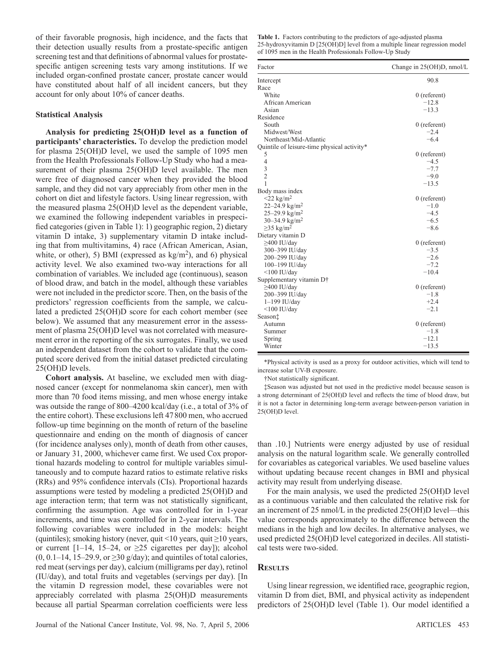of their favorable prognosis, high incidence, and the facts that their detection usually results from a prostate-specific antigen screening test and that definitions of abnormal values for prostatespecific antigen screening tests vary among institutions. If we included organ-confined prostate cancer, prostate cancer would have constituted about half of all incident cancers, but they account for only about 10% of cancer deaths.

## **Statistical Analysis**

 **Analysis for predicting 25(OH)D level as a function of participants' characteristics.** To develop the prediction model for plasma 25(OH)D level, we used the sample of 1095 men from the Health Professionals Follow-Up Study who had a measurement of their plasma 25(OH)D level available. The men were free of diagnosed cancer when they provided the blood sample, and they did not vary appreciably from other men in the cohort on diet and lifestyle factors. Using linear regression, with the measured plasma 25(OH)D level as the dependent variable, we examined the following independent variables in prespecified categories (given in Table 1): 1) geographic region, 2) dietary vitamin D intake, 3) supplementary vitamin D intake including that from multivitamins, 4) race (African American, Asian, white, or other), 5) BMI (expressed as  $kg/m<sup>2</sup>$ ), and 6) physical activity level. We also examined two-way interactions for all combination of variables. We included age (continuous), season of blood draw, and batch in the model, although these variables were not included in the predictor score. Then, on the basis of the predictors' regression coefficients from the sample, we calculated a predicted 25(OH)D score for each cohort member (see below). We assumed that any measurement error in the assessment of plasma 25(OH)D level was not correlated with measurement error in the reporting of the six surrogates. Finally, we used an independent dataset from the cohort to validate that the computed score derived from the initial dataset predicted circulating 25(OH)D levels.

**Cohort analysis.** At baseline, we excluded men with diagnosed cancer (except for nonmelanoma skin cancer), men with more than 70 food items missing, and men whose energy intake was outside the range of 800–4200 kcal/day (i.e., a total of 3% of the entire cohort). These exclusions left 47 800 men, who accrued follow-up time beginning on the month of return of the baseline questionnaire and ending on the month of diagnosis of cancer (for incidence analyses only), month of death from other causes, or January 31, 2000, whichever came first. We used Cox proportional hazards modeling to control for multiple variables simultaneously and to compute hazard ratios to estimate relative risks (RRs) and 95% confidence intervals (CIs). Proportional hazards assumptions were tested by modeling a predicted 25(OH)D and age interaction term; that term was not statistically significant, confirming the assumption. Age was controlled for in 1-year increments, and time was controlled for in 2-year intervals. The following covariables were included in the models: height (quintiles); smoking history (never, quit <10 years, quit  $\geq$  10 years, or current  $[1-14, 15-24, or \ge 25$  cigarettes per day]); alcohol  $(0, 0.1 - 14, 15 - 29.9, \text{ or } \geq 30 \text{ g/day})$ ; and quintiles of total calories, red meat (servings per day), calcium (milligrams per day), retinol (IU/day), and total fruits and vegetables (servings per day). [In the vitamin D regression model, these covariables were not appreciably correlated with plasma 25(OH)D measurements because all partial Spearman correlation coefficients were less

**Table 1.** Factors contributing to the predictors of age-adjusted plasma 25-hydroxyvitamin D [25(OH)D] level from a multiple linear regression model of 1095 men in the Health Professionals Follow-Up Study

| Factor                                      | Change in 25(OH)D, nmol/L |
|---------------------------------------------|---------------------------|
| Intercept                                   | 90.8                      |
| Race                                        |                           |
| White                                       | $0$ (referent)            |
| African American                            | $-12.8$                   |
| Asian                                       | $-13.3$                   |
| Residence                                   |                           |
| South                                       | $0$ (referent)            |
| Midwest/West                                | $-2.4$                    |
| Northeast/Mid-Atlantic                      | $-6.4$                    |
| Quintile of leisure-time physical activity* |                           |
| 5                                           | $0$ (referent)            |
| $\overline{4}$                              | $-4.5$                    |
| 3                                           | $-7.7$                    |
| $\overline{2}$                              | $-9.0$                    |
| 1                                           | $-13.5$                   |
| Body mass index                             |                           |
| $\leq$ 22 kg/m <sup>2</sup>                 | $0$ (referent)            |
| 22–24.9 kg/m <sup>2</sup>                   | $-1.0$                    |
| $25 - 29.9$ kg/m <sup>2</sup>               | $-4.5$                    |
| 30–34.9 kg/m <sup>2</sup>                   | $-6.5$                    |
| $\geq$ 35 kg/m <sup>2</sup>                 | $-8.6$                    |
| Dietary vitamin D                           |                           |
| $\geq$ 400 IU/day                           | $0$ (referent)            |
| 300-399 IU/day                              | $-3.5$                    |
| 200-299 IU/day                              | $-2.6$                    |
| 100-199 IU/day                              | $-7.2$                    |
| $<$ 100 IU/day                              | $-10.4$                   |
| Supplementary vitamin D†                    |                           |
| $\geq$ 400 IU/day                           | $0$ (referent)            |
| 200-399 IU/day                              | $-1.8$                    |
| $1-199$ IU/day                              | $+2.4$                    |
| $\leq$ 100 IU/day                           | $-2.1$                    |
| Season <sup>+</sup>                         |                           |
| Autumn                                      | $0$ (referent)            |
| Summer                                      | $-1.8$                    |
| Spring                                      | $-12.1$                   |
| Winter                                      | $-13.5$                   |

 \* Physical activity is used as a proxy for outdoor activities, which will tend to increase solar UV-B exposure.

† Not statistically signifi cant.

 ‡ Season was adjusted but not used in the predictive model because season is a strong determinant of 25(OH)D level and reflects the time of blood draw, but it is not a factor in determining long-term average between-person variation in 25(OH)D level.

than .10.] Nutrients were energy adjusted by use of residual analysis on the natural logarithm scale. We generally controlled for covariables as categorical variables. We used baseline values without updating because recent changes in BMI and physical activity may result from underlying disease.

 For the main analysis, we used the predicted 25(OH)D level as a continuous variable and then calculated the relative risk for an increment of  $25 \text{ nmol/L}$  in the predicted  $25(OH)D$  level—this value corresponds approximately to the difference between the medians in the high and low deciles. In alternative analyses, we used predicted 25(OH)D level categorized in deciles. All statistical tests were two-sided.

## **RESULTS**

Using linear regression, we identified race, geographic region, vitamin D from diet, BMI, and physical activity as independent predictors of 25(OH)D level (Table 1). Our model identified a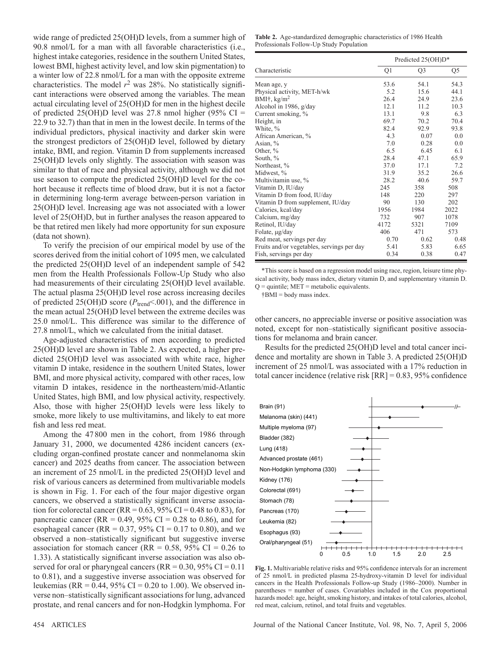wide range of predicted 25(OH)D levels, from a summer high of 90.8 nmol/L for a man with all favorable characteristics (i.e., highest intake categories, residence in the southern United States, lowest BMI, highest activity level, and low skin pigmentation) to a winter low of 22.8 nmol/L for a man with the opposite extreme characteristics. The model  $r^2$  was 28%. No statistically significant interactions were observed among the variables. The mean actual circulating level of 25(OH)D for men in the highest decile of predicted 25(OH)D level was 27.8 nmol higher (95% CI = 22.9 to 32.7) than that in men in the lowest decile. In terms of the individual predictors, physical inactivity and darker skin were the strongest predictors of 25(OH)D level, followed by dietary intake, BMI, and region. Vitamin D from supplements increased 25(OH)D levels only slightly. The association with season was similar to that of race and physical activity, although we did not use season to compute the predicted 25(OH)D level for the cohort because it reflects time of blood draw, but it is not a factor in determining long-term average between-person variation in 25(OH)D level. Increasing age was not associated with a lower level of 25(OH)D, but in further analyses the reason appeared to be that retired men likely had more opportunity for sun exposure (data not shown).

 To verify the precision of our empirical model by use of the scores derived from the initial cohort of 1095 men, we calculated the predicted 25(OH)D level of an independent sample of 542 men from the Health Professionals Follow-Up Study who also had measurements of their circulating 25(OH)D level available. The actual plasma 25(OH)D level rose across increasing deciles of predicted 25(OH)D score ( $P_{\text{trend}} < .001$ ), and the difference in the mean actual 25(OH)D level between the extreme deciles was 25.0 nmol/L. This difference was similar to the difference of 27.8 nmol/L, which we calculated from the initial dataset.

 Age-adjusted characteristics of men according to predicted 25(OH)D level are shown in Table 2 . As expected, a higher predicted 25(OH)D level was associated with white race, higher vitamin D intake, residence in the southern United States, lower BMI, and more physical activity, compared with other races, low vitamin D intakes, residence in the northeastern/mid-Atlantic United States, high BMI, and low physical activity, respectively. Also, those with higher 25(OH)D levels were less likely to smoke, more likely to use multivitamins, and likely to eat more fish and less red meat.

 Among the 47 800 men in the cohort, from 1986 through January 31, 2000, we documented 4286 incident cancers (excluding organ-confined prostate cancer and nonmelanoma skin cancer) and 2025 deaths from cancer. The association between an increment of 25 nmol/L in the predicted 25(OH)D level and risk of various cancers as determined from multivariable models is shown in Fig. 1. For each of the four major digestive organ cancers, we observed a statistically significant inverse association for colorectal cancer (RR =  $0.63$ , 95% CI =  $0.48$  to 0.83), for pancreatic cancer (RR =  $0.49$ , 95% CI = 0.28 to 0.86), and for esophageal cancer (RR =  $0.37, 95\%$  CI =  $0.17$  to 0.80), and we observed a non-statistically significant but suggestive inverse association for stomach cancer (RR =  $0.58$ , 95% CI =  $0.26$  to 1.33). A statistically significant inverse association was also observed for oral or pharyngeal cancers ( $RR = 0.30$ ,  $95\%$  CI = 0.11 to 0.81), and a suggestive inverse association was observed for leukemias (RR =  $0.44$ , 95% CI = 0.20 to 1.00). We observed inverse non-statistically significant associations for lung, advanced prostate, and renal cancers and for non-Hodgkin lymphoma. For

**Table 2.** Age-standardized demographic characteristics of 1986 Health Professionals Follow-Up Study Population

|                                            | Predicted 25(OH)D* |                |      |
|--------------------------------------------|--------------------|----------------|------|
| Characteristic                             | Q1                 | Q <sub>3</sub> | Q5   |
| Mean age, y                                | 53.6               | 54.1           | 54.3 |
| Physical activity, MET-h/wk                | 5.2                | 15.6           | 44.1 |
| BMI†, $\text{kg/m}^2$                      | 26.4               | 24.9           | 23.6 |
| Alcohol in 1986, g/day                     | 12.1               | 11.2           | 10.3 |
| Current smoking, %                         | 13.1               | 9.8            | 6.3  |
| Height, in                                 | 69.7               | 70.2           | 70.4 |
| White, %                                   | 82.4               | 92.9           | 93.8 |
| African American, %                        | 4.3                | 0.07           | 0.0  |
| Asian, $%$                                 | 7.0                | 0.28           | 0.0  |
| Other, %                                   | 6.5                | 6.45           | 6.1  |
| South, %                                   | 28.4               | 47.1           | 65.9 |
| Northeast, %                               | 37.0               | 17.1           | 7.2  |
| Midwest, %                                 | 31.9               | 35.2           | 26.6 |
| Multivitamin use, %                        | 28.2               | 40.6           | 59.7 |
| Vitamin D, IU/day                          | 245                | 358            | 508  |
| Vitamin D from food, IU/day                | 148                | 220            | 297  |
| Vitamin D from supplement, IU/day          | 90                 | 130            | 202  |
| Calories, kcal/day                         | 1956               | 1984           | 2022 |
| Calcium, mg/day                            | 732                | 907            | 1078 |
| Retinol, IU/day                            | 4172               | 5321           | 7109 |
| Folate, µg/day                             | 406                | 471            | 573  |
| Red meat, servings per day                 | 0.70               | 0.62           | 0.48 |
| Fruits and/or vegetables, servings per day | 5.41               | 5.83           | 6.65 |
| Fish, servings per day                     | 0.34               | 0.38           | 0.47 |

\* This score is based on a regression model using race, region, leisure time physical activity, body mass index, dietary vitamin D, and supplementary vitamin D.  $Q =$  quintile;  $MET =$  metabolic equivalents.

† BMI = body mass index.

other cancers, no appreciable inverse or positive association was noted, except for non-statistically significant positive associations for melanoma and brain cancer.

 Results for the predicted 25(OH)D level and total cancer incidence and mortality are shown in Table 3 . A predicted 25(OH)D increment of 25 nmol/L was associated with a 17% reduction in total cancer incidence (relative risk  $[RR] = 0.83, 95\%$  confidence



Fig. 1. Multivariable relative risks and 95% confidence intervals for an increment of 25 nmol/L in predicted plasma 25-hydroxy-vitamin D level for individual cancers in the Health Professionals Follow-up Study (1986-2000). Number in parentheses = number of cases. Covariables included in the Cox proportional hazards model: age, height, smoking history, and intakes of total calories, alcohol, red meat, calcium, retinol, and total fruits and vegetables.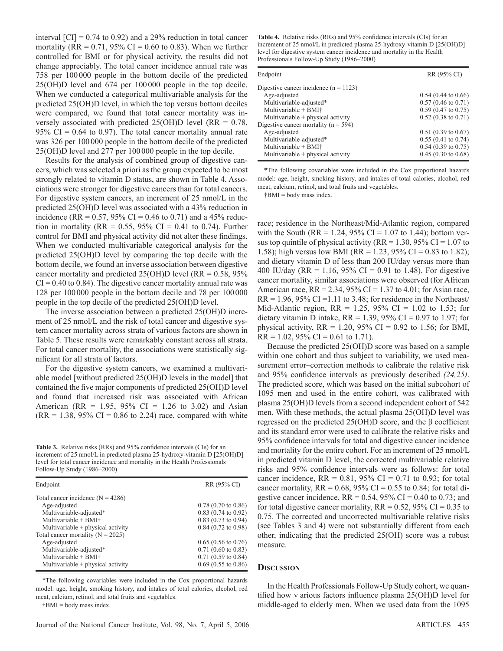interval  $\text{[CI]} = 0.74$  to 0.92) and a 29% reduction in total cancer mortality (RR =  $0.71$ , 95% CI = 0.60 to 0.83). When we further controlled for BMI or for physical activity, the results did not change appreciably. The total cancer incidence annual rate was 758 per 100 000 people in the bottom decile of the predicted 25(OH)D level and 674 per 100 000 people in the top decile. When we conducted a categorical multivariable analysis for the predicted 25(OH)D level, in which the top versus bottom deciles were compared, we found that total cancer mortality was inversely associated with predicted  $25(OH)D$  level (RR = 0.78, 95% CI =  $0.64$  to 0.97). The total cancer mortality annual rate was 326 per 100 000 people in the bottom decile of the predicted 25(OH)D level and 277 per 100 000 people in the top decile.

 Results for the analysis of combined group of digestive cancers, which was selected a priori as the group expected to be most strongly related to vitamin D status, are shown in Table 4. Associations were stronger for digestive cancers than for total cancers. For digestive system cancers, an increment of 25 nmol/L in the predicted 25(OH)D level was associated with a 43% reduction in incidence (RR =  $0.57$ , 95% CI = 0.46 to 0.71) and a 45% reduction in mortality (RR =  $0.55$ ,  $95\%$  CI = 0.41 to 0.74). Further control for BMI and physical activity did not alter these findings. When we conducted multivariable categorical analysis for the predicted 25(OH)D level by comparing the top decile with the bottom decile, we found an inverse association between digestive cancer mortality and predicted  $25(OH)D$  level (RR = 0.58, 95%)  $CI = 0.40$  to 0.84). The digestive cancer mortality annual rate was 128 per 100 000 people in the bottom decile and 78 per 100 000 people in the top decile of the predicted 25(OH)D level.

 The inverse association between a predicted 25(OH)D increment of 25 nmol/L and the risk of total cancer and digestive system cancer mortality across strata of various factors are shown in Table 5. These results were remarkably constant across all strata. For total cancer mortality, the associations were statistically significant for all strata of factors.

 For the digestive system cancers, we examined a multivariable model [without predicted 25(OH)D levels in the model] that contained the five major components of predicted 25(OH)D level and found that increased risk was associated with African American (RR = 1.95, 95% CI = 1.26 to 3.02) and Asian  $(RR = 1.38, 95\% \text{ CI} = 0.86 \text{ to } 2.24) \text{ race, compared with white}$ 

Table 3. Relative risks (RRs) and 95% confidence intervals (CIs) for an increment of 25 nmol/L in predicted plasma 25-hydroxy-vitamin D [25(OH)D] level for total cancer incidence and mortality in the Health Professionals Follow-Up Study (1986-2000)

| Endpoint                              | RR (95% CI)                   |
|---------------------------------------|-------------------------------|
| Total cancer incidence $(N = 4286)$   |                               |
| Age-adjusted                          | $0.78$ (0.70 to 0.86)         |
| Multivariable-adjusted*               | $0.83$ (0.74 to 0.92)         |
| Multivariable + BMI†                  | $0.83$ (0.73 to 0.94)         |
| Multivariable + physical activity     | $0.84$ (0.72 to 0.98)         |
| Total cancer mortality ( $N = 2025$ ) |                               |
| Age-adjusted                          | $0.65$ (0.56 to 0.76)         |
| Multivariable-adjusted*               | $0.71(0.60 \text{ to } 0.83)$ |
| Multivariable + BMI†                  | $0.71$ (0.59 to 0.84)         |
| Multivariable $+$ physical activity   | $0.69$ (0.55 to 0.86)         |

 \* The following covariables were included in the Cox proportional hazards model: age, height, smoking history, and intakes of total calories, alcohol, red meat, calcium, retinol, and total fruits and vegetables.

 $†$ BMI = body mass index.

Table 4. Relative risks (RRs) and 95% confidence intervals (CIs) for an increment of 25 nmol/L in predicted plasma 25-hydroxy-vitamin D [25(OH)D] level for digestive system cancer incidence and mortality in the Health Professionals Follow-Up Study (1986-2000)

| Endpoint                                 | RR (95% CI)                   |
|------------------------------------------|-------------------------------|
| Digestive cancer incidence $(n = 1123)$  |                               |
| Age-adjusted                             | $0.54$ (0.44 to 0.66)         |
| Multivariable-adjusted*                  | $0.57(0.46 \text{ to } 0.71)$ |
| Multivariable $+$ BMI $\dagger$          | $0.59(0.47 \text{ to } 0.75)$ |
| Multivariable + physical activity        | $0.52$ (0.38 to 0.71)         |
| Digestive cancer mortality ( $n = 594$ ) |                               |
| Age-adjusted                             | $0.51(0.39 \text{ to } 0.67)$ |
| Multivariable-adjusted*                  | $0.55(0.41 \text{ to } 0.74)$ |
| Multivariable $+$ BMI $\dagger$          | $0.54$ (0.39 to 0.75)         |
| Multivariable + physical activity        | $0.45(0.30 \text{ to } 0.68)$ |

 \* The following covariables were included in the Cox proportional hazards model: age, height, smoking history, and intakes of total calories, alcohol, red meat, calcium, retinol, and total fruits and vegetables.

† BMI = body mass index.

race; residence in the Northeast/Mid-Atlantic region, compared with the South (RR = 1.24, 95% CI = 1.07 to 1.44); bottom versus top quintile of physical activity ( $RR = 1.30$ ,  $95\%$  CI = 1.07 to 1.58); high versus low BMI (RR = 1.23, 95% CI = 0.83 to 1.82); and dietary vitamin D of less than 200 IU/day versus more than 400 IU/day (RR = 1.16, 95% CI = 0.91 to 1.48). For digestive cancer mortality, similar associations were observed (for African American race,  $RR = 2.34$ , 95% CI = 1.37 to 4.01; for Asian race,  $RR = 1.96$ , 95% CI = 1.11 to 3.48; for residence in the Northeast/ Mid-Atlantic region,  $RR = 1.25$ , 95% CI = 1.02 to 1.53; for dietary vitamin D intake,  $RR = 1.39$ , 95% CI = 0.97 to 1.97; for physical activity,  $RR = 1.20$ ,  $95\%$  CI = 0.92 to 1.56; for BMI,  $RR = 1.02$ , 95% CI = 0.61 to 1.71).

 Because the predicted 25(OH)D score was based on a sample within one cohort and thus subject to variability, we used measurement error-correction methods to calibrate the relative risk and 95% confidence intervals as previously described  $(24, 25)$ . The predicted score, which was based on the initial subcohort of 1095 men and used in the entire cohort, was calibrated with plasma 25(OH)D levels from a second independent cohort of 542 men. With these methods, the actual plasma 25(OH)D level was regressed on the predicted  $25(OH)D$  score, and the β coefficient and its standard error were used to calibrate the relative risks and 95% confidence intervals for total and digestive cancer incidence and mortality for the entire cohort. For an increment of 25 nmol/L in predicted vitamin D level, the corrected multivariable relative risks and 95% confidence intervals were as follows: for total cancer incidence,  $RR = 0.81, 95\% \text{ CI} = 0.71 \text{ to } 0.93$ ; for total cancer mortality,  $RR = 0.68$ ,  $95\%$  CI = 0.55 to 0.84; for total digestive cancer incidence,  $RR = 0.54$ , 95% CI = 0.40 to 0.73; and for total digestive cancer mortality,  $RR = 0.52$ , 95% CI = 0.35 to 0.75. The corrected and uncorrected multivariable relative risks (see Tables 3 and 4) were not substantially different from each other, indicating that the predicted 25(OH) score was a robust measure.

#### **DISCUSSION**

 In the Health Professionals Follow-Up Study cohort, we quantified how v arious factors influence plasma  $25(OH)D$  level for middle-aged to elderly men. When we used data from the 1095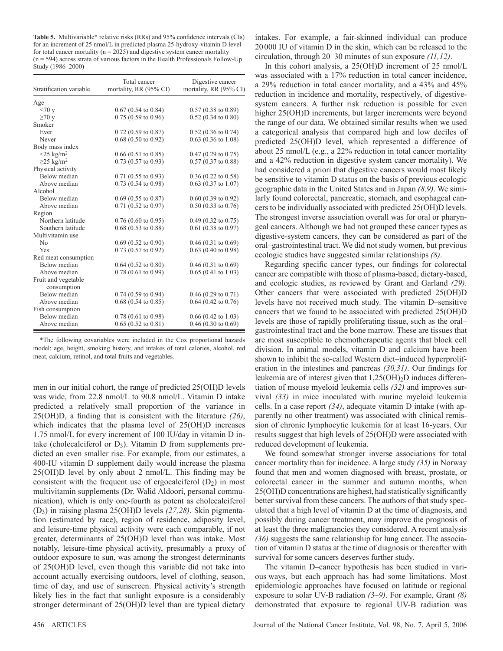Table 5. Multivariable\* relative risks (RRs) and 95% confidence intervals (CIs) for an increment of 25 nmol/L in predicted plasma 25-hydroxy-vitamin D level for total cancer mortality ( $n = 2025$ ) and digestive system cancer mortality  $(n = 594)$  across strata of various factors in the Health Professionals Follow-Up Study (1986-2000)

| Stratification variable            | Total cancer<br>mortality, RR (95% CI) | Digestive cancer<br>mortality, RR (95% CI) |
|------------------------------------|----------------------------------------|--------------------------------------------|
| Age                                |                                        |                                            |
| <70y                               | $0.67$ (0.54 to 0.84)                  | $0.57(0.38 \text{ to } 0.89)$              |
| $\geq 70$ y                        | $0.75(0.59 \text{ to } 0.96)$          | $0.52(0.34 \text{ to } 0.80)$              |
| Smoker                             |                                        |                                            |
| Ever                               | $0.72$ (0.59 to 0.87)                  | $0.52$ (0.36 to 0.74)                      |
| Never                              | $0.68$ (0.50 to 0.92)                  | $0.63$ (0.36 to 1.08)                      |
| Body mass index                    |                                        |                                            |
| $<$ 25 kg/m <sup>2</sup>           | $0.66(0.51 \text{ to } 0.85)$          | $0.47(0.29 \text{ to } 0.75)$              |
| $\geq$ 25 kg/m <sup>2</sup>        | $0.73$ (0.57 to 0.93)                  | $0.57(0.37 \text{ to } 0.88)$              |
| Physical activity                  |                                        |                                            |
| Below median                       | $0.71$ (0.55 to 0.93)                  | $0.36$ (0.22 to 0.58)                      |
| Above median                       | $0.73$ (0.54 to 0.98)                  | $0.63$ (0.37 to 1.07)                      |
| Alcohol                            |                                        |                                            |
| Below median                       | $0.69$ (0.55 to 0.87)                  | $0.60$ (0.39 to 0.92)                      |
| Above median                       | $0.71$ (0.52 to 0.97)                  | $0.50(0.33 \text{ to } 0.76)$              |
| Region                             |                                        |                                            |
| Northern latitude                  | $0.76(0.60 \text{ to } 0.95)$          | $0.49$ (0.32 to 0.75)                      |
| Southern latitude                  | $0.68$ (0.53 to 0.88)                  | $0.61$ (0.38 to 0.97)                      |
| Multivitamin use                   |                                        |                                            |
| N <sub>0</sub>                     | $0.69$ (0.52 to 0.90)                  | $0.46$ (0.31 to 0.69)                      |
| Yes                                | $0.73$ (0.57 to 0.92)                  | $0.63$ (0.40 to 0.98)                      |
| Red meat consumption               |                                        |                                            |
| Below median                       | $0.64$ (0.52 to 0.80)                  | $0.46(0.31 \text{ to } 0.69)$              |
| Above median                       | $0.78(0.61 \text{ to } 0.99)$          | $0.65(0.41 \text{ to } 1.03)$              |
| Fruit and vegetable<br>consumption |                                        |                                            |
| Below median                       | $0.74$ (0.59 to 0.94)                  | $0.46$ (0.29 to 0.71)                      |
| Above median                       | $0.68$ (0.54 to 0.85)                  | $0.64$ (0.42 to 0.76)                      |
| Fish consumption                   |                                        |                                            |
| Below median                       | $0.78$ (0.61 to 0.98)                  | $0.66$ (0.42 to 1.03)                      |
| Above median                       | $0.65(0.52 \text{ to } 0.81)$          | $0.46$ (0.30 to 0.69)                      |

\* The following covariables were included in the Cox proportional hazards model: age, height, smoking history, and intakes of total calories, alcohol, red meat, calcium, retinol, and total fruits and vegetables.

men in our initial cohort, the range of predicted 25(OH)D levels was wide, from 22.8 nmol/L to 90.8 nmol/L. Vitamin D intake predicted a relatively small proportion of the variance in 25(OH)D, a finding that is consistent with the literature (26), which indicates that the plasma level of 25(OH)D increases 1.75 nmol/L for every increment of 100 IU/day in vitamin D intake (cholecalciferol or  $D_3$ ). Vitamin D from supplements predicted an even smaller rise. For example, from our estimates, a 400-IU vitamin D supplement daily would increase the plasma  $25(OH)D$  level by only about 2 nmol/L. This finding may be consistent with the frequent use of ergocalciferol  $(D_2)$  in most multivitamin supplements (Dr. Walid Aldoori, personal communication), which is only one-fourth as potent as cholecalciferol (D<sub>3</sub>) in raising plasma 25(OH)D levels (27,28). Skin pigmentation (estimated by race), region of residence, adiposity level, and leisure-time physical activity were each comparable, if not greater, determinants of 25(OH)D level than was intake. Most notably, leisure-time physical activity, presumably a proxy of outdoor exposure to sun, was among the strongest determinants of 25(OH)D level, even though this variable did not take into account actually exercising outdoors, level of clothing, season, time of day, and use of sunscreen. Physical activity's strength likely lies in the fact that sunlight exposure is a considerably stronger determinant of 25(OH)D level than are typical dietary

intakes. For example, a fair-skinned individual can produce 20 000 IU of vitamin D in the skin, which can be released to the circulation, through 20–30 minutes of sun exposure *(11,12)*.

 In this cohort analysis, a 25(OH)D increment of 25 nmol/L was associated with a 17% reduction in total cancer incidence, a 29% reduction in total cancer mortality, and a 43% and 45% reduction in incidence and mortality, respectively, of digestivesystem cancers. A further risk reduction is possible for even higher 25(OH)D increments, but larger increments were beyond the range of our data. We obtained similar results when we used a categorical analysis that compared high and low deciles of predicted 25(OH)D level, which represented a difference of about 25 nmol/L (e.g., a 22% reduction in total cancer mortality and a 42% reduction in digestive system cancer mortality). We had considered a priori that digestive cancers would most likely be sensitive to vitamin D status on the basis of previous ecologic geographic data in the United States and in Japan (8,9). We similarly found colorectal, pancreatic, stomach, and esophageal cancers to be individually associated with predicted 25(OH)D levels. The strongest inverse association overall was for oral or pharyngeal cancers. Although we had not grouped these cancer types as digestive-system cancers, they can be considered as part of the oral-gastrointestinal tract. We did not study women, but previous ecologic studies have suggested similar relationships *(8)*.

Regarding specific cancer types, our findings for colorectal cancer are compatible with those of plasma-based, dietary-based, and ecologic studies, as reviewed by Grant and Garland  $(29)$ . Other cancers that were associated with predicted 25(OH)D levels have not received much study. The vitamin D-sensitive cancers that we found to be associated with predicted 25(OH)D levels are those of rapidly proliferating tissue, such as the oral – gastrointestinal tract and the bone marrow. These are tissues that are most susceptible to chemotherapeutic agents that block cell division. In animal models, vitamin D and calcium have been shown to inhibit the so-called Western diet-induced hyperproliferation in the intestines and pancreas  $(30,31)$ . Our findings for leukemia are of interest given that  $1,25(OH)_2D$  induces differentiation of mouse myeloid leukemia cells (32) and improves survival (33) in mice inoculated with murine myeloid leukemia cells. In a case report (34), adequate vitamin D intake (with apparently no other treatment) was associated with clinical remission of chronic lymphocytic leukemia for at least 16-years. Our results suggest that high levels of 25(OH)D were associated with reduced development of leukemia.

 We found somewhat stronger inverse associations for total cancer mortality than for incidence. A large study (35) in Norway found that men and women diagnosed with breast, prostate, or colorectal cancer in the summer and autumn months, when  $25(OH)D$  concentrations are highest, had statistically significantly better survival from these cancers. The authors of that study speculated that a high level of vitamin D at the time of diagnosis, and possibly during cancer treatment, may improve the prognosis of at least the three malignancies they considered. A recent analysis *( 36 )* suggests the same relationship for lung cancer. The association of vitamin D status at the time of diagnosis or thereafter with survival for some cancers deserves further study.

The vitamin D-cancer hypothesis has been studied in various ways, but each approach has had some limitations. Most epide miologic approaches have focused on latitude or regional exposure to solar UV-B radiation  $(3-9)$ . For example, Grant  $(8)$ demonstrated that exposure to regional UV-B radiation was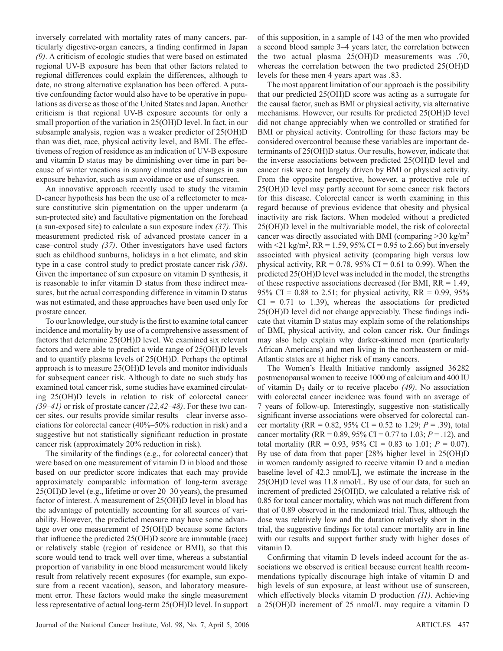inversely correlated with mortality rates of many cancers, particularly digestive-organ cancers, a finding confirmed in Japan *( 9 )* . A criticism of ecologic studies that were based on estimated regional UV-B exposure has been that other factors related to regional differences could explain the differences, although to date, no strong alternative explanation has been offered. A putative confounding factor would also have to be operative in populations as diverse as those of the United States and Japan. Another criticism is that regional UV-B exposure accounts for only a small proportion of the variation in 25(OH)D level. In fact, in our subsample analysis, region was a weaker predictor of 25(OH)D than was diet, race, physical activity level, and BMI. The effectiveness of region of residence as an indication of UV-B exposure and vitamin D status may be diminishing over time in part because of winter vacations in sunny climates and changes in sun exposure behavior, such as sun avoidance or use of sunscreen.

 An innovative approach recently used to study the vitamin D-cancer hypothesis has been the use of a reflectometer to measure constitutive skin pigmentation on the upper underarm (a sun- protected site) and facultative pigmentation on the forehead (a sun-exposed site) to calculate a sun exposure index *( 37 )* . This measurement predicted risk of advanced prostate cancer in a case–control study (37). Other investigators have used factors such as childhood sunburns, holidays in a hot climate, and skin type in a case–control study to predict prostate cancer risk (38). Given the importance of sun exposure on vitamin D synthesis, it is reasonable to infer vitamin D status from these indirect measures, but the actual corresponding difference in vitamin D status was not estimated, and these approaches have been used only for prostate cancer.

To our knowledge, our study is the first to examine total cancer incidence and mortality by use of a comprehensive assessment of factors that determine 25(OH)D level. We examined six relevant factors and were able to predict a wide range of 25(OH)D levels and to quantify plasma levels of 25(OH)D. Perhaps the optimal approach is to measure 25(OH)D levels and monitor individuals for subsequent cancer risk. Although to date no such study has examined total cancer risk, some studies have examined circulating 25(OH)D levels in relation to risk of colorectal cancer *(39–41)* or risk of prostate cancer *(22,42–48)*. For these two cancer sites, our results provide similar results—clear inverse associations for colorectal cancer (40% – 50% reduction in risk) and a suggestive but not statistically significant reduction in prostate cancer risk (approximately 20% reduction in risk).

The similarity of the findings (e.g., for colorectal cancer) that were based on one measurement of vitamin D in blood and those based on our predictor score indicates that each may provide approximately comparable information of long-term average 25(OH)D level (e.g., lifetime or over 20–30 years), the presumed factor of interest. A measurement of 25(OH)D level in blood has the advantage of potentially accounting for all sources of variability. However, the predicted measure may have some advantage over one measurement of 25(OH)D because some factors that influence the predicted  $25(OH)D$  score are immutable (race) or relatively stable (region of residence or BMI), so that this score would tend to track well over time, whereas a substantial proportion of variability in one blood measurement would likely result from relatively recent exposures (for example, sun exposure from a recent vacation), season, and laboratory measurement error. These factors would make the single measurement less representative of actual long-term 25(OH)D level. In support of this supposition, in a sample of 143 of the men who provided a second blood sample 3–4 years later, the correlation between the two actual plasma 25(OH)D measurements was .70, whereas the correlation between the two predicted 25(OH)D levels for these men 4 years apart was .83.

 The most apparent limitation of our approach is the possibility that our predicted 25(OH)D score was acting as a surrogate for the causal factor, such as BMI or physical activity, via alternative mechanisms. However, our results for predicted 25(OH)D level did not change appreciably when we controlled or stratified for BMI or physical activity. Controlling for these factors may be considered overcontrol because these variables are important determinants of 25(OH)D status. Our results, however, indicate that the inverse associations between predicted 25(OH)D level and cancer risk were not largely driven by BMI or physical activity. From the opposite perspective, however, a protective role of 25(OH)D level may partly account for some cancer risk factors for this disease. Colorectal cancer is worth examining in this regard because of previous evidence that obesity and physical inactivity are risk factors. When modeled without a predicted 25(OH)D level in the multivariable model, the risk of colorectal cancer was directly associated with BMI (comparing  $>$ 30 kg/m<sup>2</sup>) with  $\leq$  21 kg/m<sup>2</sup>, RR = 1.59, 95% CI = 0.95 to 2.66) but inversely associated with physical activity (comparing high versus low physical activity,  $RR = 0.78$ , 95% CI = 0.61 to 0.99). When the predicted 25(OH)D level was included in the model, the strengths of these respective associations decreased (for BMI, RR = 1.49, 95% CI = 0.88 to 2.51; for physical activity,  $RR = 0.99, 95%$  $CI = 0.71$  to 1.39), whereas the associations for predicted  $25(OH)D$  level did not change appreciably. These findings indicate that vitamin D status may explain some of the relationships of BMI, physical activity, and colon cancer risk. Our findings may also help explain why darker-skinned men (particularly African Americans) and men living in the northeastern or mid-Atlantic states are at higher risk of many cancers.

 The Women's Health Initiative randomly assigned 36 282 postmenopausal women to receive 1000 mg of calcium and 400 IU of vitamin  $D_3$  daily or to receive placebo  $(49)$ . No association with colorectal cancer incidence was found with an average of 7 years of follow-up. Interestingly, suggestive non – statistically significant inverse associations were observed for colorectal cancer mortality (RR =  $0.82$ ,  $95\%$  CI =  $0.52$  to 1.29; *P* = .39), total cancer mortality (RR =  $0.89$ ,  $95\%$  CI =  $0.77$  to  $1.03$ ;  $P = .12$ ), and total mortality (RR = 0.93, 95% CI = 0.83 to 1.01;  $P = 0.07$ ). By use of data from that paper [28% higher level in 25(OH)D in women randomly assigned to receive vitamin D and a median baseline level of 42.3 nmol/L], we estimate the increase in the 25(OH)D level was 11.8 nmol/L. By use of our data, for such an increment of predicted 25(OH)D, we calculated a relative risk of 0.85 for total cancer mortality, which was not much different from that of 0.89 observed in the randomized trial. Thus, although the dose was relatively low and the duration relatively short in the trial, the suggestive findings for total cancer mortality are in line with our results and support further study with higher doses of vitamin D.

Confirming that vitamin D levels indeed account for the associations we observed is critical because current health recommendations typically discourage high intake of vitamin D and high levels of sun exposure, at least without use of sunscreen, which effectively blocks vitamin D production  $(11)$ . Achieving a 25(OH)D increment of 25 nmol/L may require a vitamin D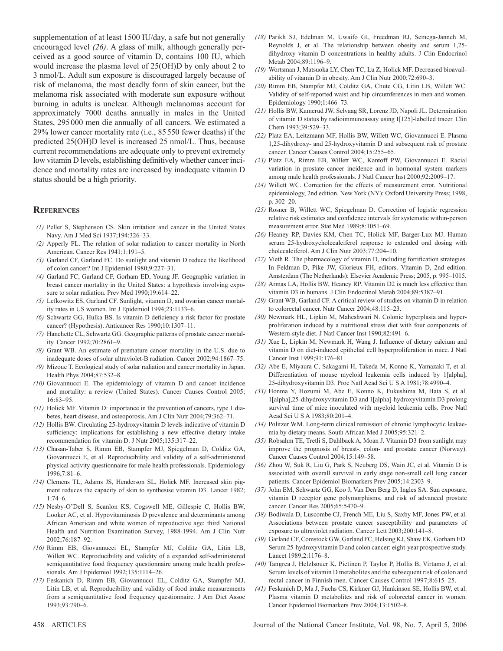supplementation of at least 1500 IU/day, a safe but not generally encouraged level (26). A glass of milk, although generally perceived as a good source of vitamin D, contains 100 IU, which would increase the plasma level of 25(OH)D by only about 2 to 3 nmol/L. Adult sun exposure is discouraged largely because of risk of melanoma, the most deadly form of skin cancer, but the melanoma risk associated with moderate sun exposure without burning in adults is unclear. Although melanomas account for approximately 7000 deaths annually in males in the United States, 295 000 men die annually of all cancers. We estimated a 29% lower cancer mortality rate (i.e., 85 550 fewer deaths) if the predicted 25(OH)D level is increased 25 nmol/L. Thus, because current recommendations are adequate only to prevent extremely low vitamin D levels, establishing definitively whether cancer incidence and mortality rates are increased by inadequate vitamin D status should be a high priority.

## **REFERENCES**

- *(1)* Peller S, Stephenson CS. Skin irritation and cancer in the United States Navy. Am J Med Sci 1937;194:326-33.
- *(2)* Apperly FL. The relation of solar radiation to cancer mortality in North American. Cancer Res 1941;1:191-5.
- *(3)* Garland CF, Garland FC. Do sunlight and vitamin D reduce the likelihood of colon cancer? Int J Epidemiol 1980;9:227-31.
- *(4)* Garland FC, Garland CF, Gorham ED, Young JF. Geographic variation in breast cancer mortality in the United States: a hypothesis involving exposure to solar radiation. Prev Med 1990;19:614-22.
- *(5)* Lefkowitz ES, Garland CF. Sunlight, vitamin D, and ovarian cancer mortality rates in US women. Int J Epidemiol 1994;23:1133-6.
- *(6)* Schwartz GG, Hulka BS. Is vitamin D deficiency a risk factor for prostate cancer? (Hypothesis). Anticancer Res 1990;10:1307-11.
- *(7)* Hanchette CL, Schwartz GG. Geographic patterns of prostate cancer mortality. Cancer 1992;70:2861-9.
- *(8)* Grant WB. An estimate of premature cancer mortality in the U.S. due to inadequate doses of solar ultraviolet-B radiation. Cancer 2002;94:1867-75.
- *(9)* Mizoue T. Ecological study of solar radiation and cancer mortality in Japan. Health Phys 2004;87:532-8.
- *(10)* Giovannucci E. The epidemiology of vitamin D and cancer incidence and mortality: a review (United States). Cancer Causes Control 2005; 16:83-95.
- *(11)* Holick MF. Vitamin D: importance in the prevention of cancers, type 1 diabetes, heart disease, and osteoporosis. Am J Clin Nutr 2004;79:362-71.
- *(12)* Hollis BW. Circulating 25-hydroxyvitamin D levels indicative of vitamin D sufficiency: implications for establishing a new effective dietary intake recommendation for vitamin D. J Nutr 2005;135:317-22.
- *(13)* Chasan-Taber S, Rimm EB, Stampfer MJ, Spiegelman D, Colditz GA, Giovannucci E, et al. Reproducibility and validity of a self-administered physical activity questionnaire for male health professionals. Epidemiology 1996;7:81-6.
- *(14)* Clemens TL, Adams JS, Henderson SL, Holick MF. Increased skin pigment reduces the capacity of skin to synthesise vitamin D3. Lancet 1982;  $1:74 - 6$ .
- *(15)* Nesby-O'Dell S, Scanlon KS, Cogswell ME, Gillespie C, Hollis BW, Looker AC, et al. Hypovitaminosis D prevalence and determinants among African American and white women of reproductive age: third National Health and Nutrition Examination Survey, 1988-1994. Am J Clin Nutr 2002 ; 76 : 187 – 92.
- *(16)* Rimm EB, Giovannucci EL, Stampfer MJ, Colditz GA, Litin LB, Willett WC. Reproducibility and validity of a expanded self-administered semiquantitative food frequency questionnaire among male health professionals. Am J Epidemiol 1992;135:1114-26.
- *(17)* Feskanich D, Rimm EB, Giovannucci EL, Colditz GA, Stampfer MJ, Litin LB, et al. Reproducibility and validity of food intake measurements from a semiquantitative food frequency questionnaire. J Am Diet Assoc 1993;93:790-6.
- *(18)* Parikh SJ, Edelman M, Uwaifo GI, Freedman RJ, Semega-Janneh M, Reynolds J, et al. The relationship between obesity and serum 1,25 dihydroxy vitamin D concentrations in healthy adults. J Clin Endocrinol Metab 2004:89:1196-9
- *(19)* Wortsman J, Matsuoka LY, Chen TC, Lu Z, Holick MF. Decreased bioavailability of vitamin D in obesity. Am J Clin Nutr 2000;72:690-3.
- *(20)* Rimm EB, Stampfer MJ, Colditz GA, Chute CG, Litin LB, Willett WC. Validity of self-reported waist and hip circumferences in men and women. Epidemiology 1990;1:466-73.
- *(21)* Hollis BW, Kamerud JW, Selvaag SR, Lorenz JD, Napoli JL. Determination of vitamin D status by radioimmunoassay using I[125]-labelled tracer. Clin Chem 1993;39:529-33.
- *(22)* Platz EA, Leitzmann MF, Hollis BW, Willett WC, Giovannucci E. Plasma 1,25-dihydroxy- and 25-hydroxyvitamin D and subsequent risk of prostate cancer. Cancer Causes Control 2004;15:255-65.
- *(23)* Platz EA, Rimm EB, Willett WC, Kantoff PW, Giovannucci E. Racial variation in prostate cancer incidence and in hormonal system markers among male health professionals. J Natl Cancer Inst 2000;92:2009-17.
- *(24)* Willett WC. Correction for the effects of measurement error. Nutritional epidemiology, 2nd edition. New York (NY): Oxford University Press; 1998, p. 302-20.
- *(25)* Rosner B, Willett WC, Spiegelman D. Correction of logistic regression relative risk estimates and confidence intervals for systematic within-person measurement error. Stat Med 1989;8:1051-69.
- *(26)* Heaney RP, Davies KM, Chen TC, Holick MF, Barger-Lux MJ. Human serum 25-hydroxycholecalciferol response to extended oral dosing with cholecalciferol. Am J Clin Nutr 2003;77:204-10.
- *(27)* Vieth R. The pharmacology of vitamin D, including fortification strategies. In Feldman D, Pike JW, Glorieux FH, editors. Vitamin D, 2nd edition. Amsterdam (The Netherlands): Elsevier Academic Press; 2005, p. 995-1015.
- *(28)* Armas LA, Hollis BW, Heaney RP. Vitamin D2 is much less effective than vitamin D3 in humans. J Clin Endocrinol Metab 2004;89:5387-91.
- *(29)* Grant WB, Garland CF. A critical review of studies on vitamin D in relation to colorectal cancer. Nutr Cancer 2004:48:115-23.
- *(30)* Newmark HL, Lipkin M, Maheshwari N. Colonic hyperplasia and hyperproliferation induced by a nutritional stress diet with four components of Western-style diet. J Natl Cancer Inst 1990;82:491-6.
- (31) Xue L, Lipkin M, Newmark H, Wang J. Influence of dietary calcium and vitamin D on diet-induced epithelial cell hyperproliferation in mice. J Natl Cancer Inst 1999;91:176-81.
- *(32)* Abe E, Miyaura C, Sakagami H, Takeda M, Konno K, Yamazaki T, et al. Differentiation of mouse myeloid leukemia cells induced by 1[alpha], 25-dihydroxyvitamin D3. Proc Natl Acad Sci U S A 1981;78:4990-4.
- *(33)* Honma Y, Hozumi M, Abe E, Konno K, Fukushima M, Hata S, et al. 1 [alpha],25-dihydroxyvitamin D3 and 1[alpha]-hydroxyvitamin D3 prolong survival time of mice inoculated with myeloid leukemia cells. Proc Natl Acad Sci U S A 1983;80:201-4.
- *(34)* Politzer WM. Long-term clinical remission of chronic lymphocytic leukaemia by dietary means. South African Med J 2005;95:321-2.
- *(35)* Robsahm TE, Tretli S, Dahlback A, Moan J. Vitamin D3 from sunlight may improve the prognosis of breast-, colon- and prostate cancer (Norway). Cancer Causes Control 2004;15:149-58.
- *(36)* Zhou W, Suk R, Liu G, Park S, Neuberg DS, Wain JC, et al. Vitamin D is associated with overall survival in early stage non-small cell lung cancer patients. Cancer Epidemiol Biomarkers Prev 2005;14:2303-9.
- *(37)* John EM, Schwartz GG, Koo J, Van Den Berg D, Ingles SA. Sun exposure, vitamin D receptor gene polymorphisms, and risk of advanced prostate cancer. Cancer Res 2005;65:5470-9.
- *(38)* Bodiwala D, Luscombe CJ, French ME, Liu S, Saxby MF, Jones PW, et al. Associations between prostate cancer susceptibility and parameters of exposure to ultraviolet radiation. Cancer Lett 2003;200:141-8.
- *(39)* Garland CF, Comstock GW, Garland FC, Helsing KJ, Shaw EK, Gorham ED. Serum 25-hydroxyvitamin D and colon cancer: eight-year prospective study. Lancet 1989;2:1176-8.
- *(40)* Tangrea J, Helzlsouer K, Pietinen P, Taylor P, Hollis B, Virtamo J, et al. Serum levels of vitamin D metabolites and the subsequent risk of colon and rectal cancer in Finnish men. Cancer Causes Control 1997;8:615-25.
- *(41)* Feskanich D, Ma J, Fuchs CS, Kirkner GJ, Hankinson SE, Hollis BW, et al. Plasma vitamin D metabolites and risk of colorectal cancer in women. Cancer Epidemiol Biomarkers Prev 2004;13:1502-8.